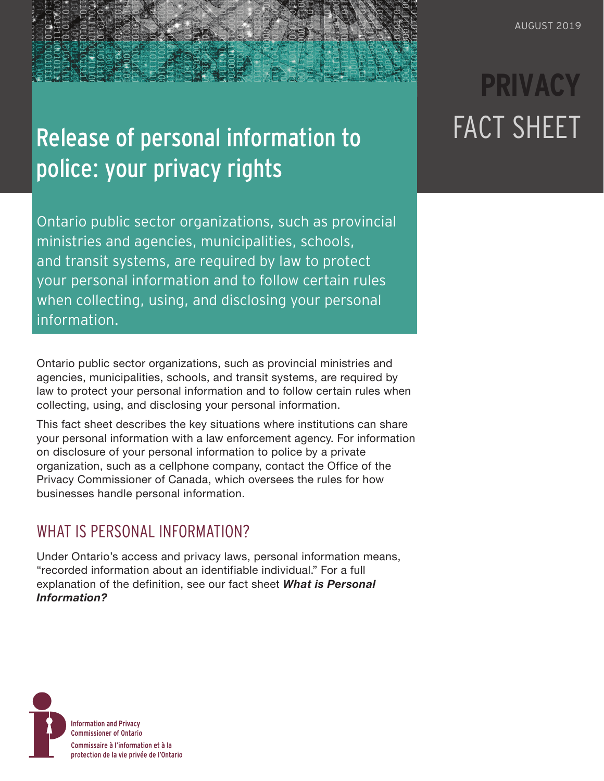## Release of personal information to police: your privacy rights

Ontario public sector organizations, such as provincial ministries and agencies, municipalities, schools, and transit systems, are required by law to protect your personal information and to follow certain rules when collecting, using, and disclosing your personal information.

Ontario public sector organizations, such as provincial ministries and agencies, municipalities, schools, and transit systems, are required by law to protect your personal information and to follow certain rules when collecting, using, and disclosing your personal information.

This fact sheet describes the key situations where institutions can share your personal information with a law enforcement agency. For information on disclosure of your personal information to police by a private organization, such as a cellphone company, contact the [Office of the](https://www.priv.gc.ca/en/)  [Privacy Commissioner of Canada](https://www.priv.gc.ca/en/), which oversees the rules for how businesses handle personal information.

## WHAT IS PERSONAL INFORMATION?

Under Ontario's access and privacy laws, personal information means, "recorded information about an identifiable individual." For a full explanation of the definition, see our fact sheet *[What is Personal](https://www.ipc.on.ca/wp-content/uploads/2016/10/what-is-personal-information.pdf)  [Information?](https://www.ipc.on.ca/wp-content/uploads/2016/10/what-is-personal-information.pdf)*



# **PRIVACY** FACT SHEET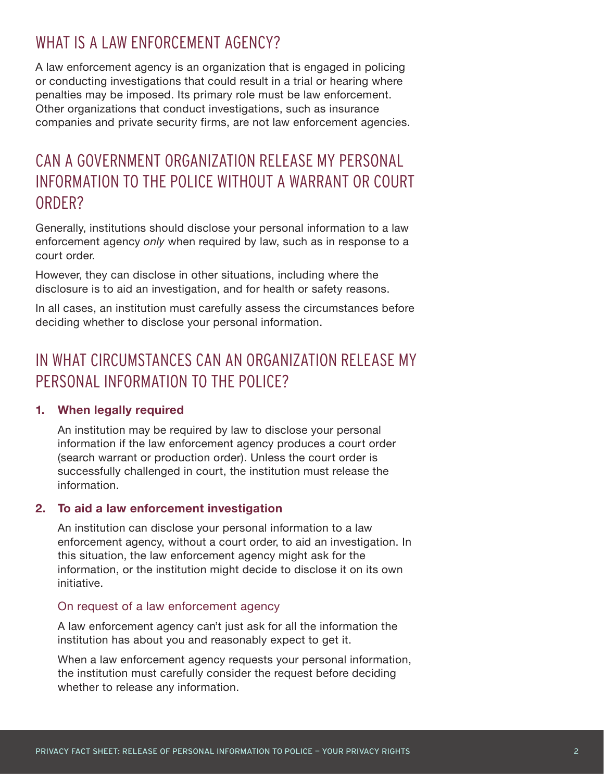### WHAT IS A LAW ENFORCEMENT AGENCY?

A law enforcement agency is an organization that is engaged in policing or conducting investigations that could result in a trial or hearing where penalties may be imposed. Its primary role must be law enforcement. Other organizations that conduct investigations, such as insurance companies and private security firms, are not law enforcement agencies.

## CAN A GOVERNMENT ORGANIZATION RELEASE MY PERSONAL INFORMATION TO THE POLICE WITHOUT A WARRANT OR COURT ORDER?

Generally, institutions should disclose your personal information to a law enforcement agency *only* when required by law, such as in response to a court order.

However, they can disclose in other situations, including where the disclosure is to aid an investigation, and for health or safety reasons.

In all cases, an institution must carefully assess the circumstances before deciding whether to disclose your personal information.

## IN WHAT CIRCUMSTANCES CAN AN ORGANIZATION RELEASE MY PERSONAL INFORMATION TO THE POLICE?

#### **1. When legally required**

An institution may be required by law to disclose your personal information if the law enforcement agency produces a court order (search warrant or production order). Unless the court order is successfully challenged in court, the institution must release the information.

#### **2. To aid a law enforcement investigation**

An institution can disclose your personal information to a law enforcement agency, without a court order, to aid an investigation. In this situation, the law enforcement agency might ask for the information, or the institution might decide to disclose it on its own initiative.

#### On request of a law enforcement agency

A law enforcement agency can't just ask for all the information the institution has about you and reasonably expect to get it.

When a law enforcement agency requests your personal information, the institution must carefully consider the request before deciding whether to release any information.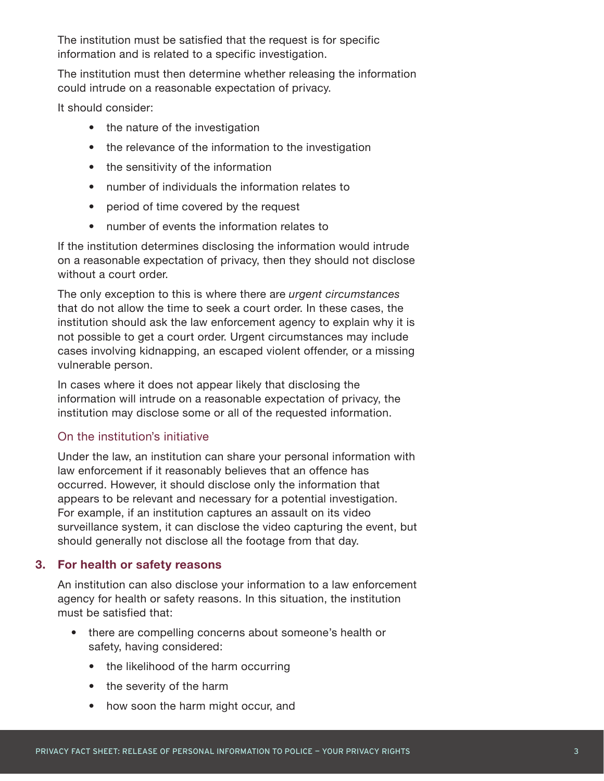The institution must be satisfied that the request is for specific information and is related to a specific investigation.

The institution must then determine whether releasing the information could intrude on a reasonable expectation of privacy.

It should consider:

- the nature of the investigation
- the relevance of the information to the investigation
- the sensitivity of the information
- number of individuals the information relates to
- period of time covered by the request
- number of events the information relates to

If the institution determines disclosing the information would intrude on a reasonable expectation of privacy, then they should not disclose without a court order.

The only exception to this is where there are *urgent circumstances* that do not allow the time to seek a court order. In these cases, the institution should ask the law enforcement agency to explain why it is not possible to get a court order. Urgent circumstances may include cases involving kidnapping, an escaped violent offender, or a missing vulnerable person.

In cases where it does not appear likely that disclosing the information will intrude on a reasonable expectation of privacy, the institution may disclose some or all of the requested information.

#### On the institution's initiative

Under the law, an institution can share your personal information with law enforcement if it reasonably believes that an offence has occurred. However, it should disclose only the information that appears to be relevant and necessary for a potential investigation. For example, if an institution captures an assault on its video surveillance system, it can disclose the video capturing the event, but should generally not disclose all the footage from that day.

#### **3. For health or safety reasons**

An institution can also disclose your information to a law enforcement agency for health or safety reasons. In this situation, the institution must be satisfied that:

- there are compelling concerns about someone's health or safety, having considered:
	- the likelihood of the harm occurring
	- the severity of the harm
	- how soon the harm might occur, and